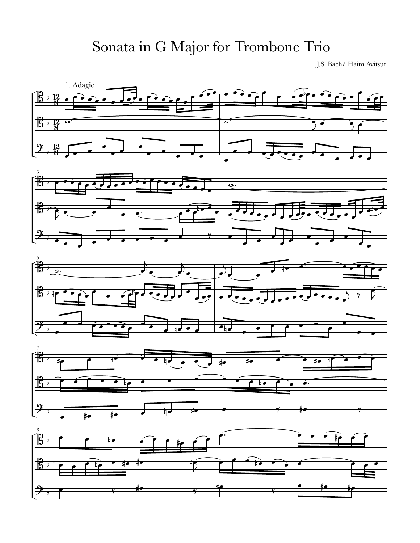## Sonata in G Major for Trombone Trio

J.S. Bach/Haim Avitsur

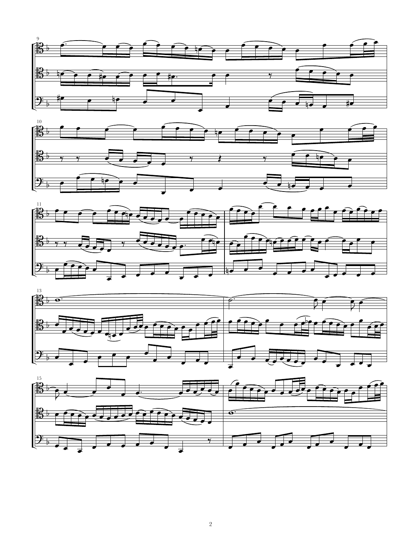







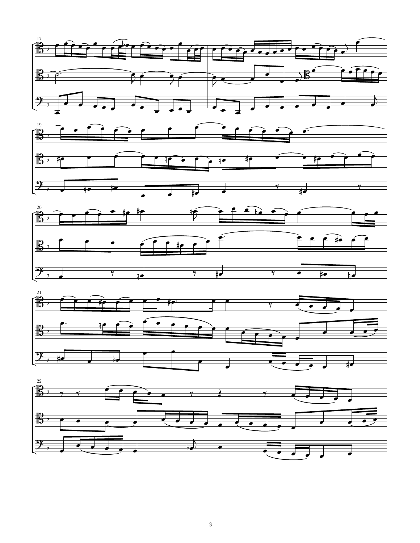







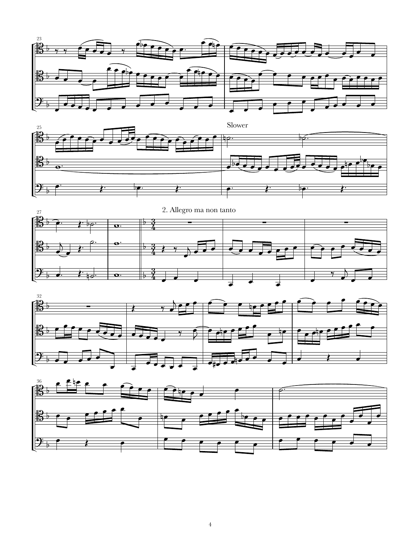







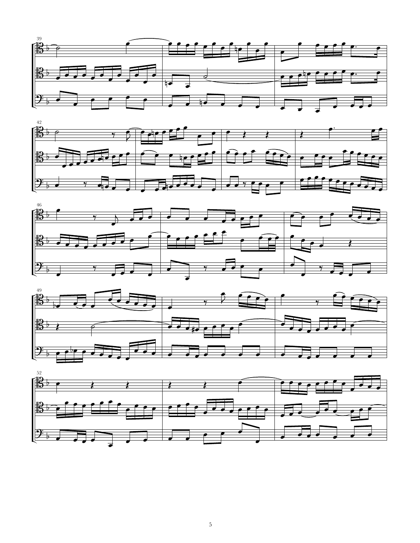







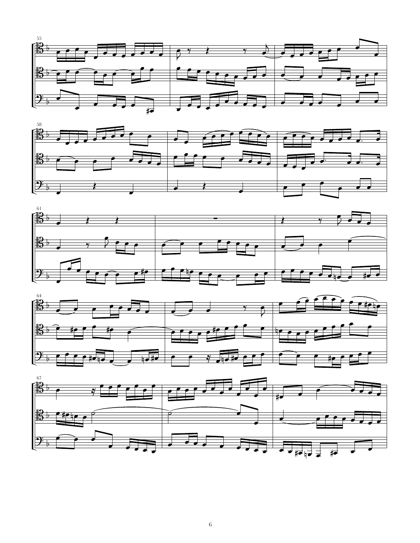









 $\sqrt{6}$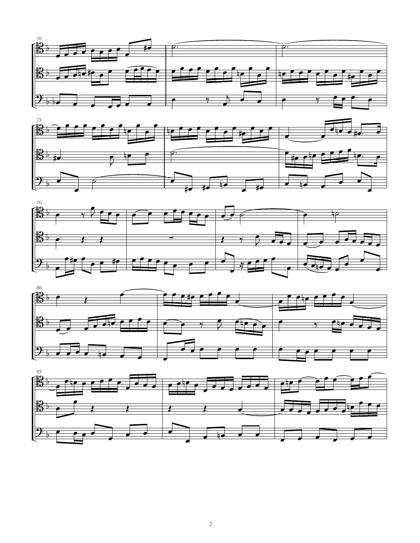









 $\overline{7}$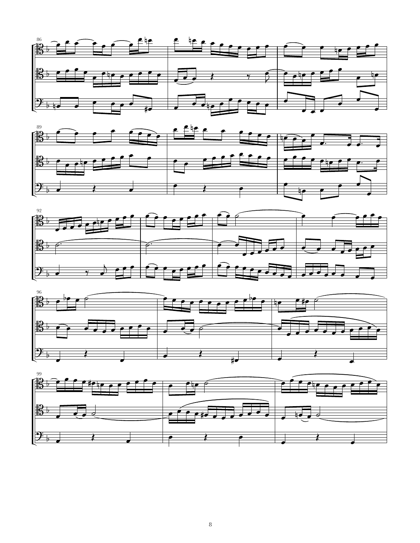







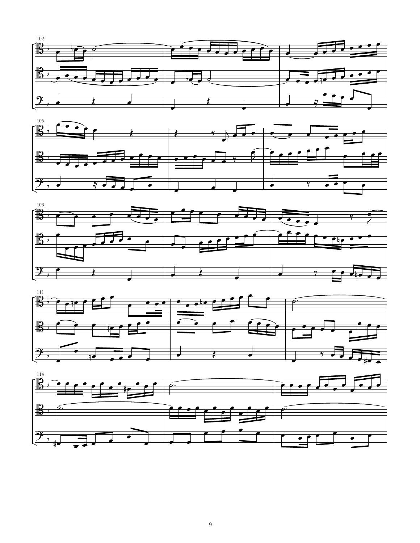







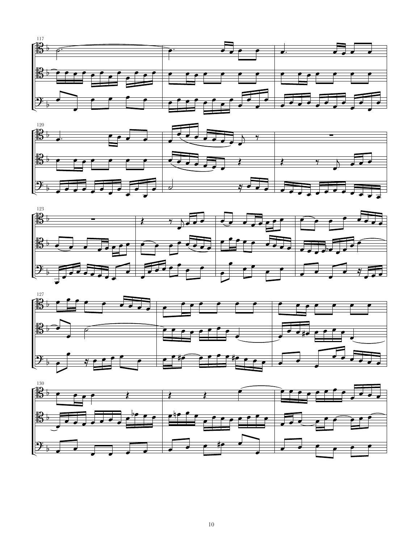







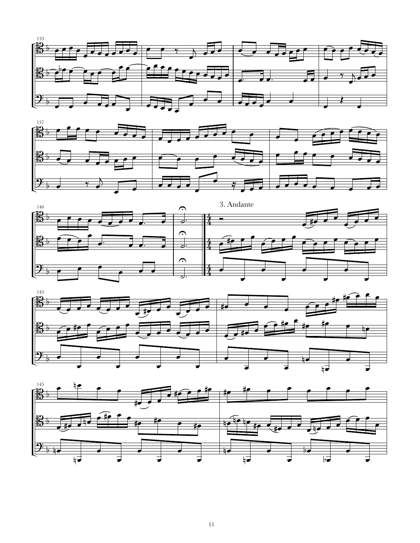







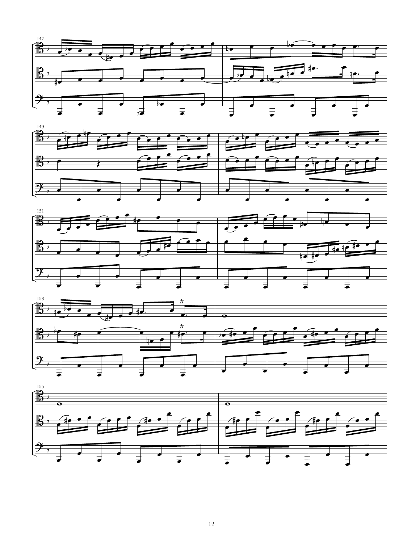







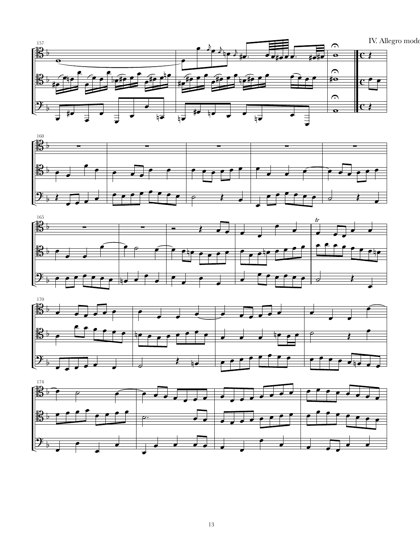







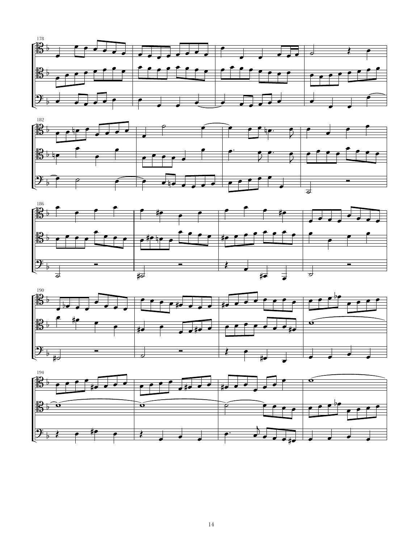







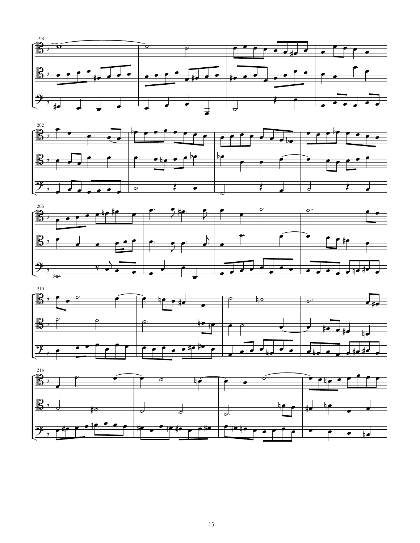







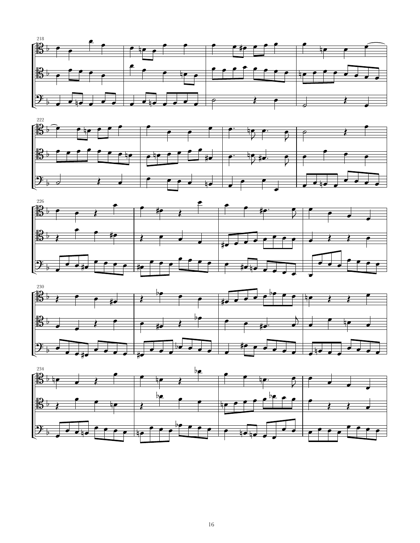







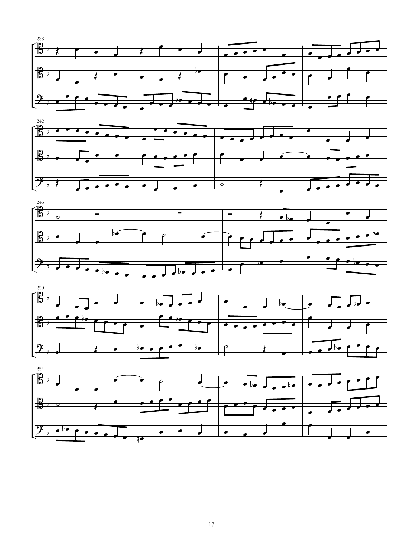







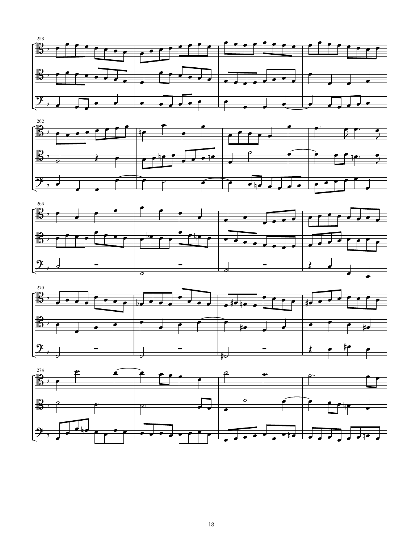







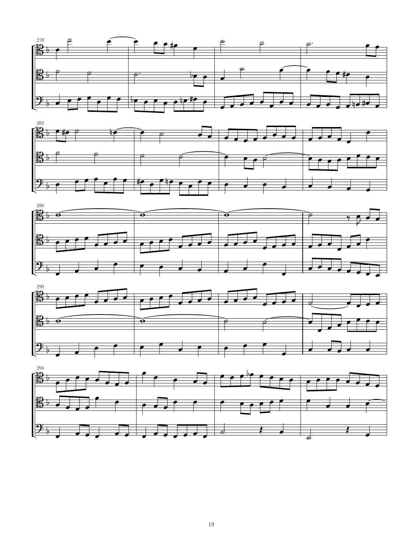







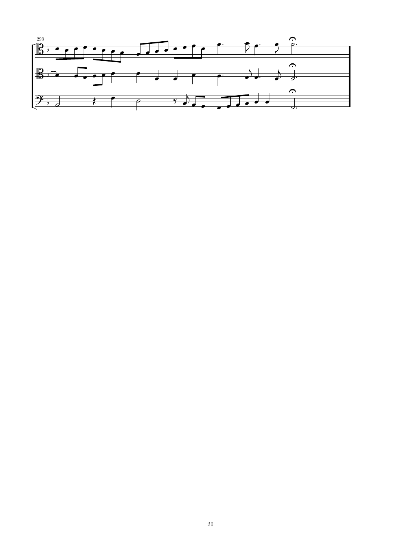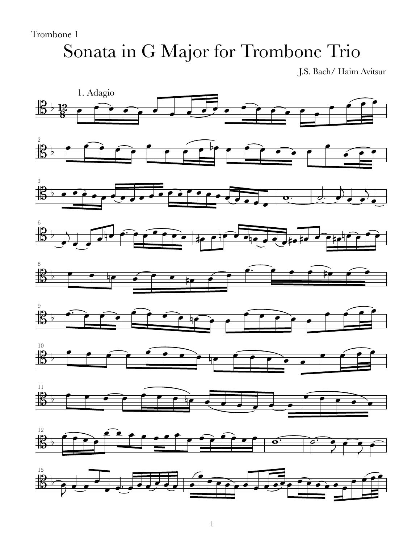Trombone 1

Sonata in G Major for Trombone Trio

J.S. Bach/ Haim Avitsur

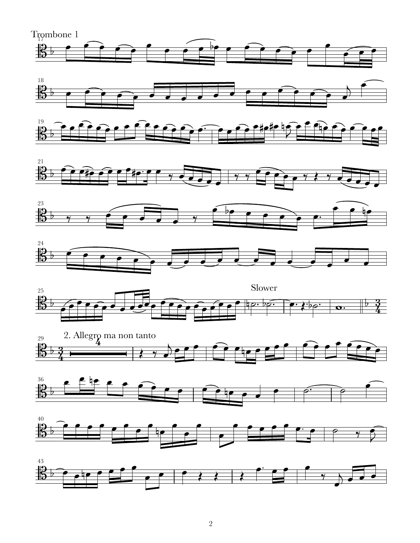

















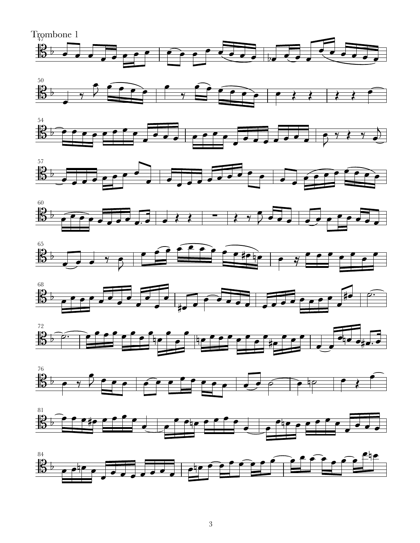



















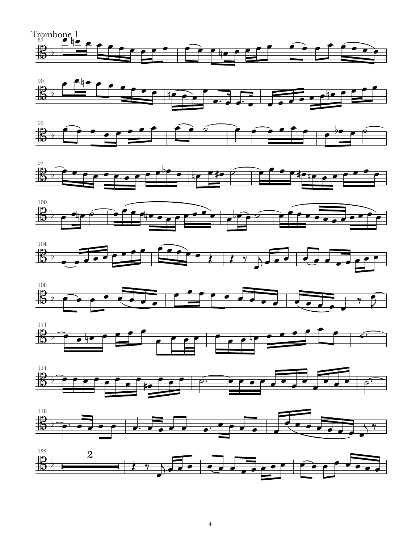



















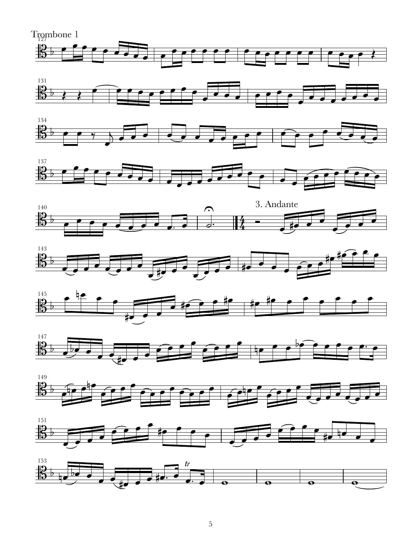



















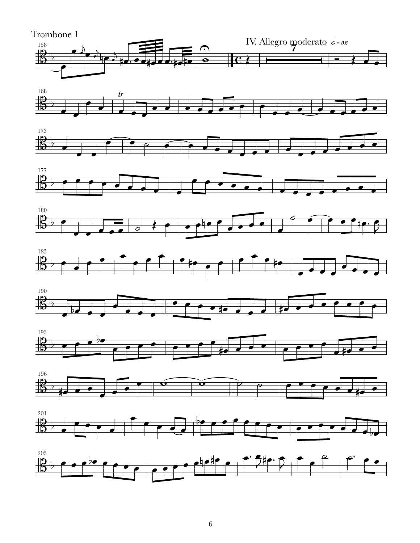



















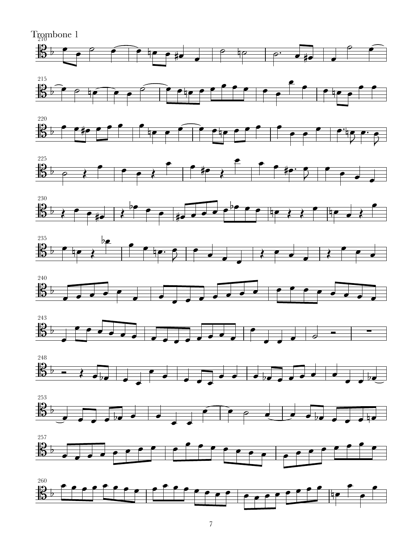



















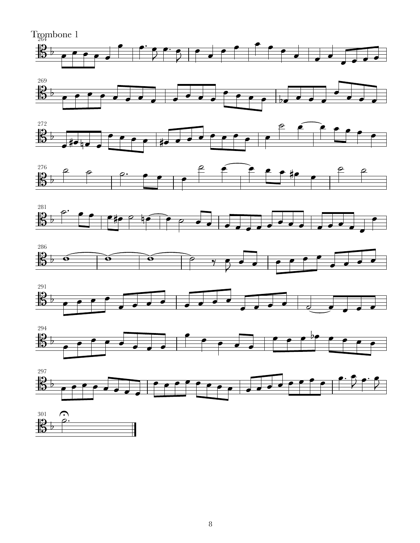

















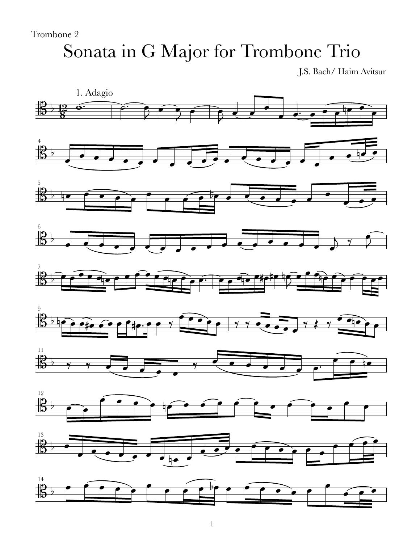Trombone 2

Sonata in G Major for Trombone Trio

J.S. Bach/Haim Avitsur



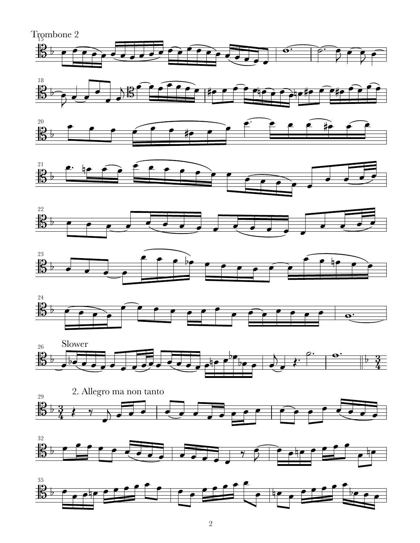

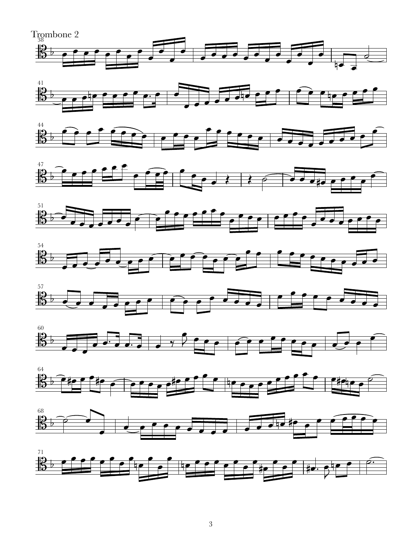



















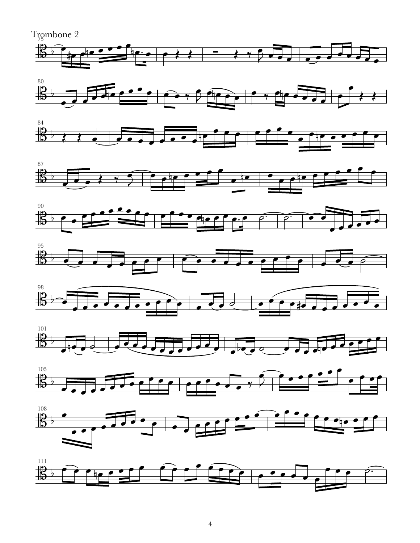



















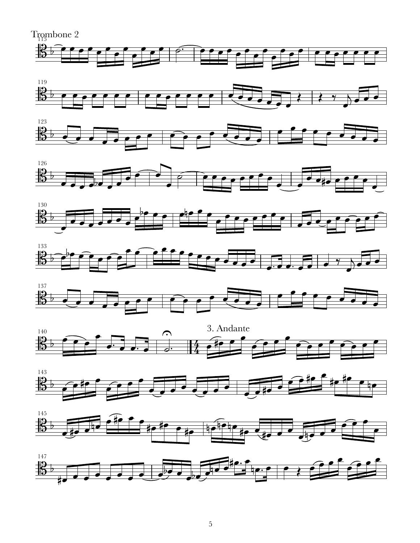



















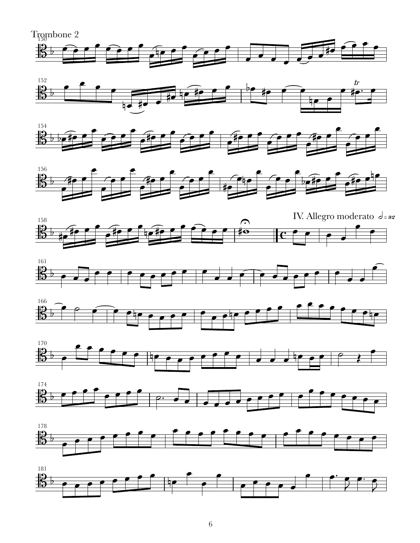



















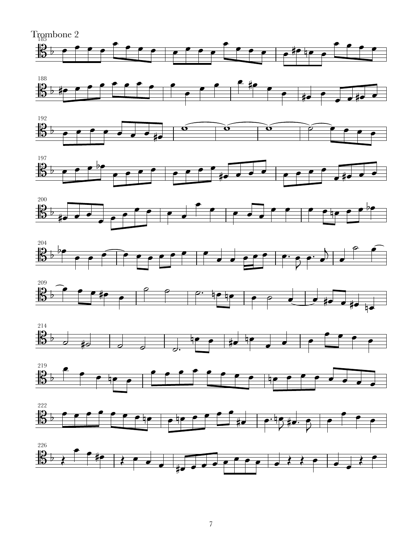



















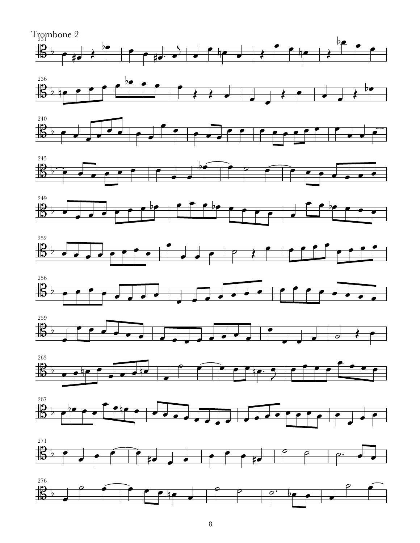

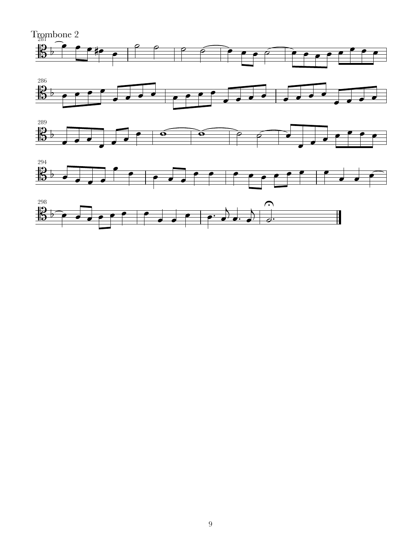







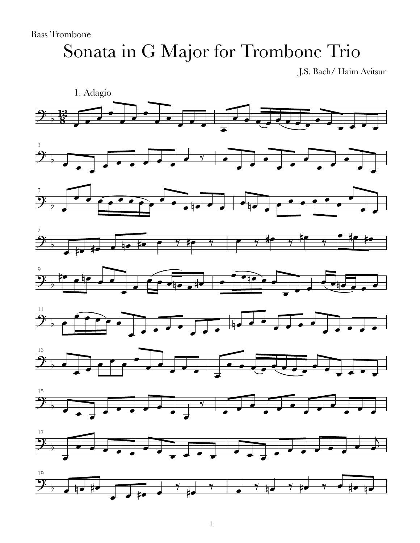**Bass Trombone** 

Sonata in G Major for Trombone Trio

J.S. Bach/ Haim Avitsur

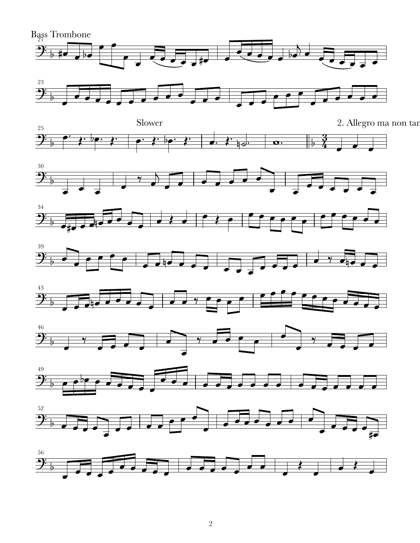



















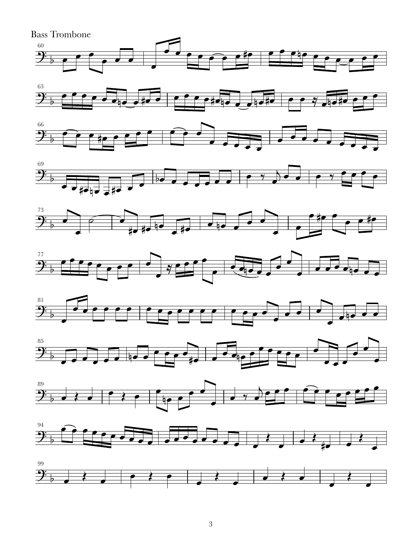



















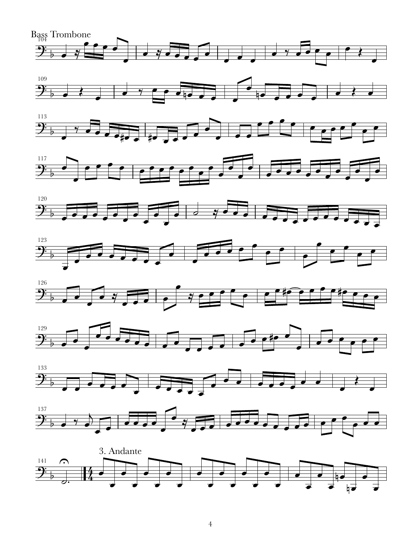



















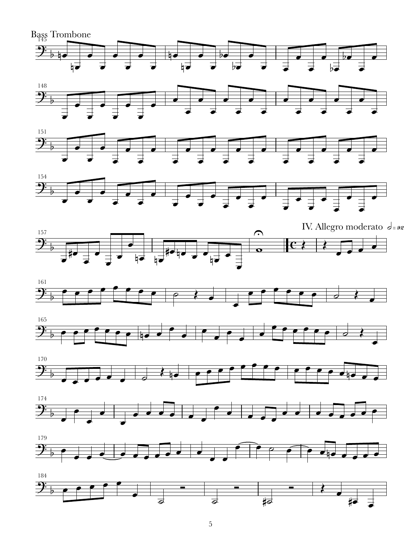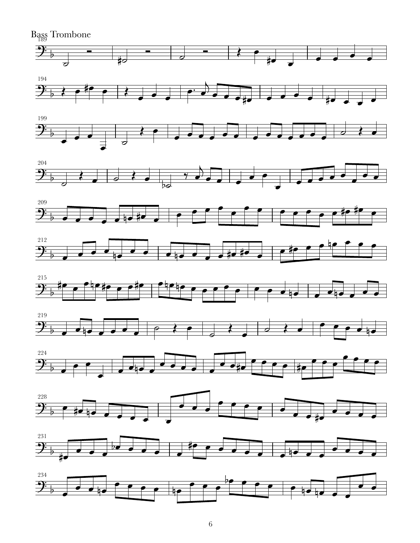

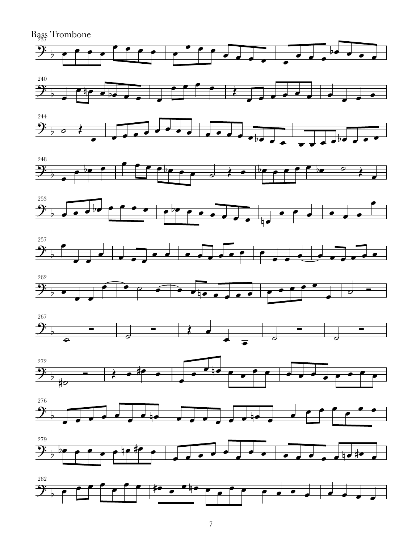